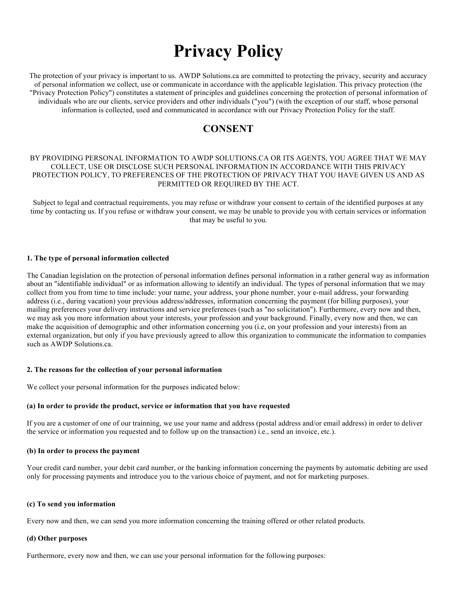# **Privacy Policy**

The protection of your privacy is important to us. AWDP Solutions.ca are committed to protecting the privacy, security and accuracy of personal information we collect, use or communicate in accordance with the applicable legislation. This privacy protection (the "Privacy Protection Policy") constitutes a statement of principles and guidelines concerning the protection of personal information of individuals who are our clients, service providers and other individuals ("you") (with the exception of our staff, whose personal information is collected, used and communicated in accordance with our Privacy Protection Policy for the staff.

# **CONSENT**

# BY PROVIDING PERSONAL INFORMATION TO AWDP SOLUTIONS.CA OR ITS AGENTS, YOU AGREE THAT WE MAY COLLECT, USE OR DISCLOSE SUCH PERSONAL INFORMATION IN ACCORDANCE WITH THIS PRIVACY PROTECTION POLICY, TO PREFERENCES OF THE PROTECTION OF PRIVACY THAT YOU HAVE GIVEN US AND AS PERMITTED OR REQUIRED BY THE ACT.

Subject to legal and contractual requirements, you may refuse or withdraw your consent to certain of the identified purposes at any time by contacting us. If you refuse or withdraw your consent, we may be unable to provide you with certain services or information that may be useful to you.

# **1. The type of personal information collected**

The Canadian legislation on the protection of personal information defines personal information in a rather general way as information about an "identifiable individual" or as information allowing to identify an individual. The types of personal information that we may collect from you from time to time include: your name, your address, your phone number, your e-mail address, your forwarding address (i.e., during vacation) your previous address/addresses, information concerning the payment (for billing purposes), your mailing preferences your delivery instructions and service preferences (such as "no solicitation"). Furthermore, every now and then, we may ask you more information about your interests, your profession and your background. Finally, every now and then, we can make the acquisition of demographic and other information concerning you (i.e, on your profession and your interests) from an external organization, but only if you have previously agreed to allow this organization to communicate the information to companies such as AWDP Solutions.ca.

#### **2. The reasons for the collection of your personal information**

We collect your personal information for the purposes indicated below:

## **(a) In order to provide the product, service or information that you have requested**

If you are a customer of one of our trainning, we use your name and address (postal address and/or email address) in order to deliver the service or information you requested and to follow up on the transaction) i.e., send an invoice, etc.).

#### **(b) In order to process the payment**

Your credit card number, your debit card number, or the banking information concerning the payments by automatic debiting are used only for processing payments and introduce you to the various choice of payment, and not for marketing purposes.

#### **(c) To send you information**

Every now and then, we can send you more information concerning the training offered or other related products.

#### **(d) Other purposes**

Furthermore, every now and then, we can use your personal information for the following purposes: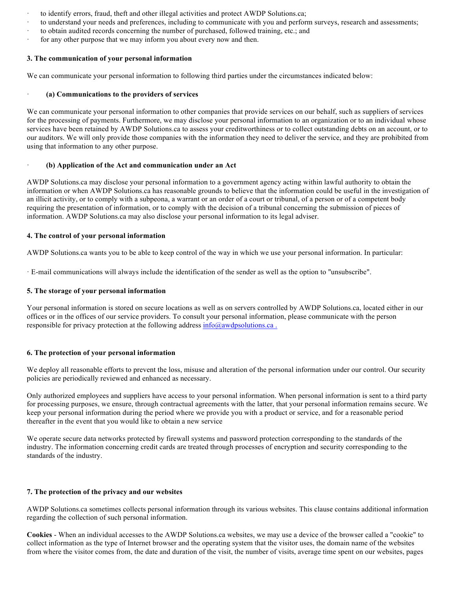- · to identify errors, fraud, theft and other illegal activities and protect AWDP Solutions.ca;
- to understand your needs and preferences, including to communicate with you and perform surveys, research and assessments;
- to obtain audited records concerning the number of purchased, followed training, etc.; and
- for any other purpose that we may inform you about every now and then.

#### **3. The communication of your personal information**

We can communicate your personal information to following third parties under the circumstances indicated below:

#### · **(a) Communications to the providers of services**

We can communicate your personal information to other companies that provide services on our behalf, such as suppliers of services for the processing of payments. Furthermore, we may disclose your personal information to an organization or to an individual whose services have been retained by AWDP Solutions.ca to assess your creditworthiness or to collect outstanding debts on an account, or to our auditors. We will only provide those companies with the information they need to deliver the service, and they are prohibited from using that information to any other purpose.

#### · **(b) Application of the Act and communication under an Act**

AWDP Solutions.ca may disclose your personal information to a government agency acting within lawful authority to obtain the information or when AWDP Solutions.ca has reasonable grounds to believe that the information could be useful in the investigation of an illicit activity, or to comply with a subpeona, a warrant or an order of a court or tribunal, of a person or of a competent body requiring the presentation of information, or to comply with the decision of a tribunal concerning the submission of pieces of information. AWDP Solutions.ca may also disclose your personal information to its legal adviser.

#### **4. The control of your personal information**

AWDP Solutions.ca wants you to be able to keep control of the way in which we use your personal information. In particular:

· E-mail communications will always include the identification of the sender as well as the option to "unsubscribe".

#### **5. The storage of your personal information**

Your personal information is stored on secure locations as well as on servers controlled by AWDP Solutions.ca, located either in our offices or in the offices of our service providers. To consult your personal information, please communicate with the person responsible for privacy protection at the following address  $info@awd$ psolutions.ca.

# **6. The protection of your personal information**

We deploy all reasonable efforts to prevent the loss, misuse and alteration of the personal information under our control. Our security policies are periodically reviewed and enhanced as necessary.

Only authorized employees and suppliers have access to your personal information. When personal information is sent to a third party for processing purposes, we ensure, through contractual agreements with the latter, that your personal information remains secure. We keep your personal information during the period where we provide you with a product or service, and for a reasonable period thereafter in the event that you would like to obtain a new service

We operate secure data networks protected by firewall systems and password protection corresponding to the standards of the industry. The information concerning credit cards are treated through processes of encryption and security corresponding to the standards of the industry.

#### **7. The protection of the privacy and our websites**

AWDP Solutions.ca sometimes collects personal information through its various websites. This clause contains additional information regarding the collection of such personal information.

**Cookies** - When an individual accesses to the AWDP Solutions.ca websites, we may use a device of the browser called a "cookie" to collect information as the type of Internet browser and the operating system that the visitor uses, the domain name of the websites from where the visitor comes from, the date and duration of the visit, the number of visits, average time spent on our websites, pages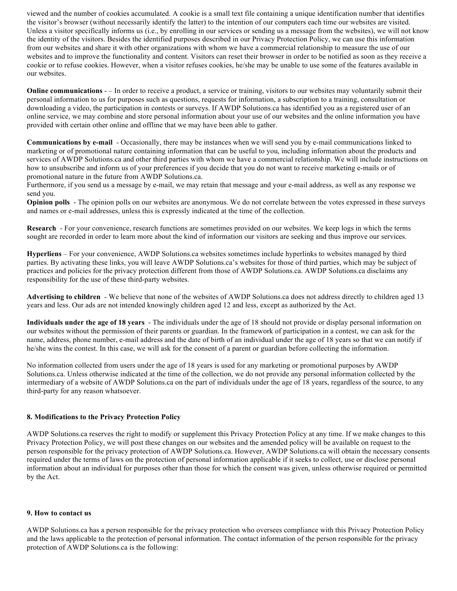viewed and the number of cookies accumulated. A cookie is a small text file containing a unique identification number that identifies the visitor's browser (without necessarily identify the latter) to the intention of our computers each time our websites are visited. Unless a visitor specifically informs us (i.e., by enrolling in our services or sending us a message from the websites), we will not know the identity of the visitors. Besides the identified purposes described in our Privacy Protection Policy, we can use this information from our websites and share it with other organizations with whom we have a commercial relationship to measure the use of our websites and to improve the functionality and content. Visitors can reset their browser in order to be notified as soon as they receive a cookie or to refuse cookies. However, when a visitor refuses cookies, he/she may be unable to use some of the features available in our websites.

**Online communications** - – In order to receive a product, a service or training, visitors to our websites may voluntarily submit their personal information to us for purposes such as questions, requests for information, a subscription to a training, consultation or downloading a video, the participation in contests or surveys. If AWDP Solutions.ca has identified you as a registered user of an online service, we may combine and store personal information about your use of our websites and the online information you have provided with certain other online and offline that we may have been able to gather.

**Communications by e-mail** - Occasionally, there may be instances when we will send you by e-mail communications linked to marketing or of promotional nature containing information that can be useful to you, including information about the products and services of AWDP Solutions.ca and other third parties with whom we have a commercial relationship. We will include instructions on how to unsubscribe and inform us of your preferences if you decide that you do not want to receive marketing e-mails or of promotional nature in the future from AWDP Solutions.ca.

Furthermore, if you send us a message by e-mail, we may retain that message and your e-mail address, as well as any response we send you.

**Opinion polls** - The opinion polls on our websites are anonymous. We do not correlate between the votes expressed in these surveys and names or e-mail addresses, unless this is expressly indicated at the time of the collection.

**Research** - For your convenience, research functions are sometimes provided on our websites. We keep logs in which the terms sought are recorded in order to learn more about the kind of information our visitors are seeking and thus improve our services.

**Hyperliens** – For your convenience, AWDP Solutions.ca websites sometimes include hyperlinks to websites managed by third parties. By activating these links, you will leave AWDP Solutions.ca's websites for those of third parties, which may be subject of practices and policies for the privacy protection different from those of AWDP Solutions.ca. AWDP Solutions.ca disclaims any responsibility for the use of these third-party websites.

**Advertising to children** - We believe that none of the websites of AWDP Solutions.ca does not address directly to children aged 13 years and less. Our ads are not intended knowingly children aged 12 and less, except as authorized by the Act.

**Individuals under the age of 18 years** - The individuals under the age of 18 should not provide or display personal information on our websites without the permission of their parents or guardian. In the framework of participation in a contest, we can ask for the name, address, phone number, e-mail address and the date of birth of an individual under the age of 18 years so that we can notify if he/she wins the contest. In this case, we will ask for the consent of a parent or guardian before collecting the information.

No information collected from users under the age of 18 years is used for any marketing or promotional purposes by AWDP Solutions.ca. Unless otherwise indicated at the time of the collection, we do not provide any personal information collected by the intermediary of a website of AWDP Solutions.ca on the part of individuals under the age of 18 years, regardless of the source, to any third-party for any reason whatsoever.

# **8. Modifications to the Privacy Protection Policy**

AWDP Solutions.ca reserves the right to modify or supplement this Privacy Protection Policy at any time. If we make changes to this Privacy Protection Policy, we will post these changes on our websites and the amended policy will be available on request to the person responsible for the privacy protection of AWDP Solutions.ca. However, AWDP Solutions.ca will obtain the necessary consents required under the terms of laws on the protection of personal information applicable if it seeks to collect, use or disclose personal information about an individual for purposes other than those for which the consent was given, unless otherwise required or permitted by the Act.

#### **9. How to contact us**

AWDP Solutions.ca has a person responsible for the privacy protection who oversees compliance with this Privacy Protection Policy and the laws applicable to the protection of personal information. The contact information of the person responsible for the privacy protection of AWDP Solutions.ca is the following: